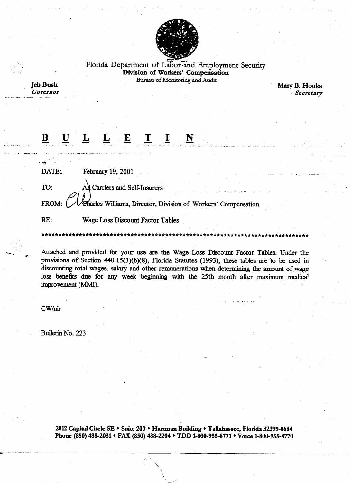

Florida Department of Labor-and Employment Security Division of Workers' Compensation Bureau of Monitoring and Audit

**Jeb Bush** Governor

ر سي<br>د ۲۰ روست

Mary B. Hooks Secretary

## $\mathbf{I}$   $\mathbf{I}$  $\bf{B}$  $\mathbf{E}$  $\underline{\mathbf{U}}$  $\overline{\mathbf{r}}$ L.  $\overline{\mathbf{N}}$

DATE: February 19, 2001

TO: All Carriers and Self-Insurers

FROM: Charles Williams, Director, Division of Workers' Compensation

RE: Wage Loss Discount Factor Tables

Attached and provided for your use are the Wage Loss Discount Factor Tables. Under the provisions of Section 440.15(3)(b)(8), Florida Statutes (1993), these tables are to be used in discounting total wages, salary and other remunerations when determining the amount of wage loss benefits due for any week beginning with the 25th month after maximum medical improvement (MMI).

 $CW/nlr$ 

Bulletin No. 223

2012 Capital Circle SE • Suite 200 • Hartman Building • Tallahassee, Florida 32399-0684 Phone (850) 488-2031 • FAX (850) 488-2204 • TDD 1-800-955-8771 • Voice 1-800-955-8770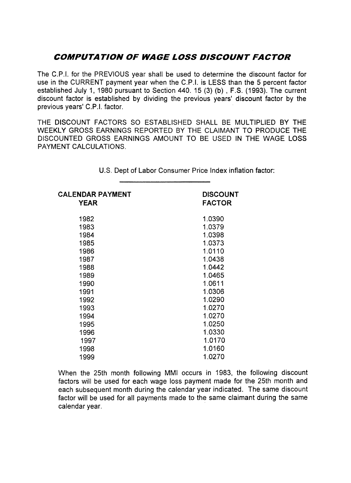## COMPUTA TION OF WAGE LOSS DISCOUNT FACTOR

The C.P.I. for the PREVIOUS year shall be used to determine the discount factor for use in the CURRENT payment year when the C.P.I. is LESS than the 5 percent factor established July 1, 1980 pursuant to Section 440. 15 (3) (b) , F.S. (1993). The current discount factor is established by dividing the previous years' discount factor by the previous years' C.P.I. factor.

THE DISCOUNT FACTORS SO ESTABLISHED SHALL BE MULTIPLIED BY THE WEEKLY GROSS EARNINGS REPORTED BY THE CLAIMANT TO PRODUCE THE DISCOUNTED GROSS EARNINGS AMOUNT TO BE USED IN THE WAGE LOSS PAYMENT CALCULATIONS.

| <b>CALENDAR PAYMENT</b><br><b>YEAR</b> | <b>DISCOUNT</b><br><b>FACTOR</b> |
|----------------------------------------|----------------------------------|
| 1982                                   | 1.0390                           |
| 1983                                   | 1.0379                           |
| 1984                                   | 1.0398                           |
| 1985                                   | 1.0373                           |
| 1986                                   | 1.0110                           |
| 1987                                   | 1.0438                           |
| 1988                                   | 1.0442                           |
| 1989                                   | 1.0465                           |
| 1990                                   | 1.0611                           |
| 1991                                   | 1.0306                           |
| 1992                                   | 1.0290                           |
| 1993                                   | 1.0270                           |
| 1994                                   | 1.0270                           |
| 1995                                   | 1.0250                           |
| 1996                                   | 1.0330                           |
| 1997                                   | 1.0170                           |
| 1998                                   | 1.0160                           |
| 1999                                   | 1.0270                           |

u.s. Dept of Labor Consumer Price Index inflation factor:

When the 25th month following MMI occurs in 1983, the following discount factors will be used for each wage loss payment made for the 25th month and each subsequent month during the calendar year indicated. The same discount factor will be used for all payments made to the same claimant during the same calendar year.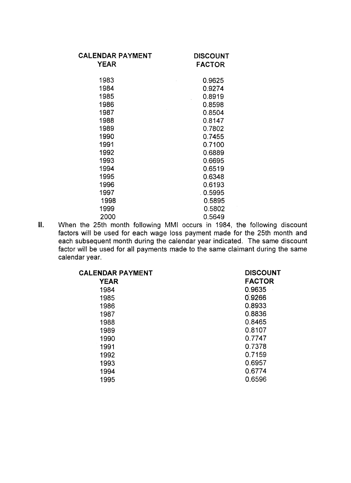| <b>CALENDAR PAYMENT</b><br><b>YEAR</b> | <b>DISCOUNT</b><br><b>FACTOR</b> |
|----------------------------------------|----------------------------------|
| 1983                                   | 0.9625                           |
| 1984                                   | 0.9274                           |
| 1985                                   | 0.8919                           |
| 1986                                   | 0.8598                           |
| 1987                                   | 0.8504                           |
| 1988                                   | 0.8147                           |
| 1989                                   | 0.7802                           |
| 1990                                   | 0.7455                           |
| 1991                                   | 0.7100                           |
| 1992                                   | 0.6889                           |
| 1993                                   | 0.6695                           |
| 1994                                   | 0.6519                           |
| 1995                                   | 0.6348                           |
| 1996                                   | 0.6193                           |
| 1997                                   | 0.5995                           |
| 1998                                   | 0.5895                           |
| 1999                                   | 0.5802                           |
| 2000                                   | 0.5649                           |

II. When the 25th month following MMI occurs in 1984, the following discoul factors will be used for each wage loss payment made for the 25th month and each subsequent month during the calendar year indicated. The same discoul factor will be used for all payments made to the same claimant during the same calendar year.

| <b>CALENDAR PAYMENT</b> | <b>DISCOUNT</b> |
|-------------------------|-----------------|
| <b>YEAR</b>             | <b>FACTOR</b>   |
| 1984                    | 0.9635          |
| 1985                    | 0.9266          |
| 1986                    | 0.8933          |
| 1987                    | 0.8836          |
| 1988                    | 0.8465          |
| 1989                    | 0.8107          |
| 1990                    | 0.7747          |
| 1991                    | 0.7378          |
| 1992                    | 0.7159          |
| 1993                    | 0.6957          |
| 1994                    | 0.6774          |
| 1995                    | 0.6596          |
|                         |                 |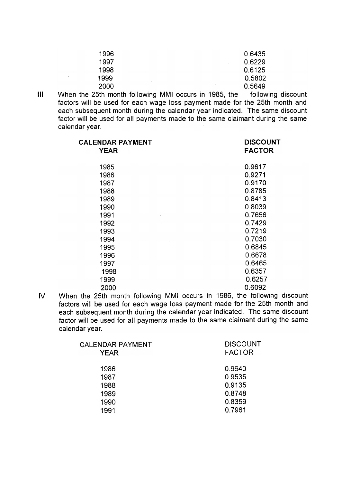| 1996 | 0.6435 |
|------|--------|
| 1997 | 0.6229 |
| 1998 | 0.6125 |
| 1999 | 0.5802 |
| 2000 | 0.5649 |

**III** When the 25th month following MMI occurs in 1985, the following discount factors will be used for each wage loss payment made for the 25th month and each subsequent month during the calendar year indicated. The same discount factor will be used for all payments made to the same claimant during the same calendar year.

| <b>CALENDAR PAYMENT</b><br><b>YEAR</b> | <b>DISCOUNT</b><br><b>FACTOR</b> |
|----------------------------------------|----------------------------------|
| 1985                                   | 0.9617                           |
| 1986                                   | 0.9271                           |
| 1987                                   | 0.9170                           |
| 1988                                   | 0.8785                           |
| 1989                                   | 0.8413                           |
| 1990                                   | 0.8039                           |
| 1991                                   | 0.7656                           |
| 1992                                   | 0.7429                           |
| 1993                                   | 0.7219                           |
| 1994                                   | 0.7030                           |
| 1995                                   | 0.6845                           |
| 1996                                   | 0.6678                           |
| 1997                                   | 0.6465                           |
| 1998                                   | 0.6357                           |
| 1999                                   | 0.6257                           |
| 2000                                   | 0.6092                           |

When the 25th month following MMI occurs in 1986, the following discount factors will be used for each wage loss payment made for the 25th month and each subsequent month during the calendar year indicated. The same discount factor will be used for all payments made to the same claimant during the same calendar year. IV.

| CALENDAR PAYMENT<br><b>YEAR</b> | <b>DISCOUNT</b><br><b>FACTOR</b> |
|---------------------------------|----------------------------------|
| 1986                            | 0.9640                           |
| 1987                            | 0.9535                           |
| 1988                            | 0.9135                           |
| 1989                            | 0.8748                           |
| 1990                            | 0.8359                           |
| 1991                            | 0.7961                           |
|                                 |                                  |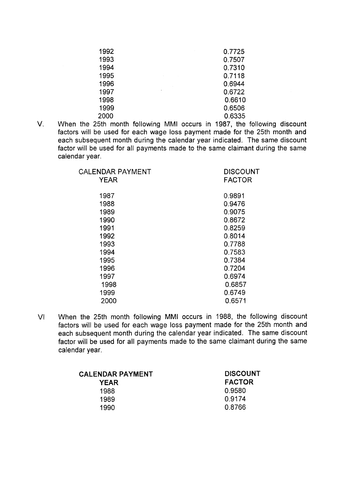| 1992 |           | 0.7725 |
|------|-----------|--------|
| 1993 |           | 0.7507 |
| 1994 |           | 0.7310 |
| 1995 |           | 0.7118 |
| 1996 |           | 0.6944 |
| 1997 | $\bullet$ | 0.6722 |
| 1998 |           | 0.6610 |
| 1999 |           | 0.6506 |
| 2000 |           | 0.6335 |

v. When the 25th month following MMI occurs in 1987, the following discount factors will be used for each wage loss payment made for the 25th month and each subsequent month during the calendar year indicated. The same discount factor will be used for all payments made to the same claimant during the same calendar year.

| CALENDAR PAYMENT<br><b>YEAR</b> | <b>DISCOUNT</b><br><b>FACTOR</b> |
|---------------------------------|----------------------------------|
| 1987                            | 0.9891                           |
| 1988                            | 0.9476                           |
| 1989                            | 0.9075                           |
| 1990                            | 0.8672                           |
| 1991                            | 0.8259                           |
| 1992                            | 0.8014                           |
| 1993                            | 0.7788                           |
| 1994                            | 0.7583                           |
| 1995                            | 0.7384                           |
| 1996                            | 0.7204                           |
| 1997                            | 0.6974                           |
| 1998                            | 0.6857                           |
| 1999                            | 0.6749                           |
| 2000                            | 0.6571                           |
|                                 |                                  |

VI When the 25th month following MMI occurs in 1988, the following discount factors will be used for each wage loss payment made for the 25th month and each subsequent month during the calendar year indicated. The same discount factor will be used for all payments made to the same claimant during the same calendar year.

| <b>CALENDAR PAYMENT</b> | <b>DISCOUNT</b> |
|-------------------------|-----------------|
| YEAR                    | <b>FACTOR</b>   |
| 1988                    | 0.9580          |
| 1989                    | 0.9174          |
| 1990                    | 0.8766          |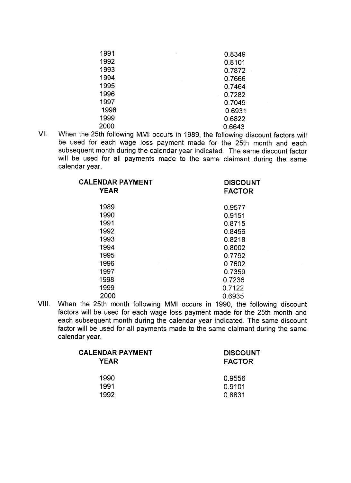| 1991 | 0.8349 |
|------|--------|
| 1992 | 0.8101 |
| 1993 | 0.7872 |
| 1994 | 0.7666 |
| 1995 | 0.7464 |
| 1996 | 0.7282 |
| 1997 | 0.7049 |
| 1998 | 0.6931 |
| 1999 | 0.6822 |
| 2000 | 0.6643 |

VII When the 25th following MMI occurs in 1989, the following discount factors will be used for each wage loss payment made for the 25th month and each subsequent month during the calendar year indicated. The same discount factor will be used for all payments made to the same claimant during the same calendar year.

| <b>CALENDAR PAYMENT</b><br><b>YEAR</b> | <b>DISCOUNT</b><br><b>FACTOR</b> |
|----------------------------------------|----------------------------------|
| 1989                                   | 0.9577                           |
| 1990                                   | 0.9151                           |
| 1991                                   | 0.8715                           |
| 1992                                   | 0.8456                           |
| 1993                                   | 0.8218                           |
| 1994                                   | 0.8002                           |
| 1995                                   | 0.7792                           |
| 1996                                   | 0.7602                           |
| 1997                                   | 0.7359                           |
| 1998                                   | 0.7236                           |
| 1999                                   | 0.7122                           |
| 2000                                   | 0.6935                           |

VIII. When the 25th month following MMI occurs in 1990, the following discount factors will be used for each wage loss payment made for the 25th month and each subsequent month during the calendar year indicated. The same discount factor will be used for all payments made to the same claimant during the same calendar year.

| CALENDAR PAYMENT<br><b>YEAR</b> | <b>DISCOUNT</b><br><b>FACTOR</b> |  |
|---------------------------------|----------------------------------|--|
| 1990                            | 0.9556                           |  |
| 1991                            | 0.9101                           |  |
| 1992                            | 0.8831                           |  |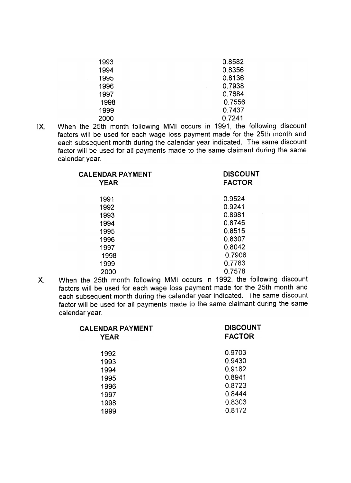| 1993 | 0.8582 |
|------|--------|
| 1994 | 0.8356 |
| 1995 | 0.8136 |
| 1996 | 0.7938 |
| 1997 | 0.7684 |
| 1998 | 0.7556 |
| 1999 | 0.7437 |
| 2000 | 0.7241 |

When the 25th month following MMI occurs in 1991, the following discount factors will be used for each wage loss payment made for the 25th month and each subsequent month during the calendar year indicated. The same discount factor will be used for all payments made to the same claimant during the same calendar year. IX,

| <b>CALENDAR PAYMENT</b><br><b>YEAR</b> | <b>DISCOUNT</b><br><b>FACTOR</b> |
|----------------------------------------|----------------------------------|
| 1991                                   | 0.9524                           |
| 1992                                   | 0.9241                           |
| 1993                                   | 0.8981                           |
| 1994                                   | 0.8745                           |
| 1995                                   | 0.8515                           |
| 1996                                   | 0.8307                           |
| 1997                                   | 0.8042                           |
| 1998                                   | 0.7908                           |
| 1999                                   | 0.7783                           |
| 2000                                   | 0.7578                           |

When the 25th month following MMI occurs in 1992, the following discoul factors will be used for each wage loss payment made for the 25th month and each subsequent month during the calendar year indicated. The same discount factor will be used for all payments made to the same claimant during the same calendar year. x.

| <b>CALENDAR PAYMENT</b><br><b>YEAR</b> | <b>DISCOUNT</b><br><b>FACTOR</b> |
|----------------------------------------|----------------------------------|
| 1992                                   | 0.9703                           |
| 1993                                   | 0.9430                           |
| 1994                                   | 0.9182                           |
| 1995                                   | 0.8941                           |
| 1996                                   | 0.8723                           |
| 1997                                   | 0.8444                           |
| 1998                                   | 0.8303                           |
| 1999                                   | 0.8172                           |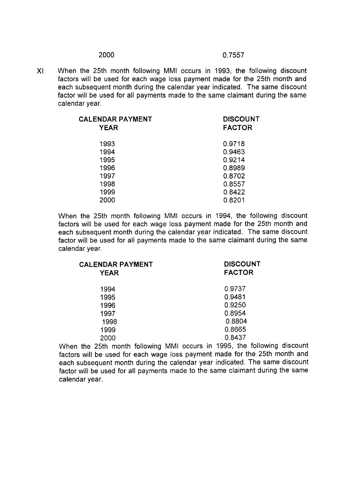XI When the 25th month following MMI occurs in 1993, the following discount factors will be used for each wage loss payment made for the 25th month and each subsequent month during the calendar year indicated. The same discount factor will be used for all payments made to the same claimant during the same calendar year.

| <b>CALENDAR PAYMENT</b> | <b>DISCOUNT</b> |
|-------------------------|-----------------|
| <b>YEAR</b>             | <b>FACTOR</b>   |
| 1993                    | 0.9718          |
| 1994                    | 0.9463          |
| 1995                    | 0.9214          |
| 1996                    | 0.8989          |
| 1997                    | 0.8702          |
| 1998                    | 0.8557          |
| 1999                    | 0.8422          |
| 2000                    | 0.8201          |

When the 25th month following MMI occurs in 1994, the following discount factors will be used for each wage loss payment made for the 25th month and each subsequent month during the calendar year indicated. The same discount factor will be used for all payments made to the same claimant during the same calendar year.

| <b>CALENDAR PAYMENT</b><br><b>YEAR</b> | <b>DISCOUNT</b><br><b>FACTOR</b> |  |
|----------------------------------------|----------------------------------|--|
|                                        |                                  |  |
| 1994                                   | 0.9737                           |  |
| 1995                                   | 0.9481                           |  |
| 1996                                   | 0.9250                           |  |
| 1997                                   | 0.8954                           |  |
| 1998                                   | 0.8804                           |  |
| 1999                                   | 0.8665                           |  |
| 2000                                   | 0.8437                           |  |
|                                        |                                  |  |

When the 25th month following MMI occurs in 1995, the following discount factors will be used for each wage loss payment made for the 25th month and each subsequent month during the calendar year indicated. The same discount factor will be used for all payments made to the same claimant during the same calendar year.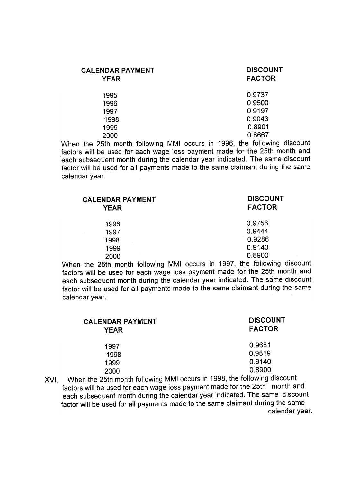| <b>CALENDAR PAYMENT</b><br><b>YEAR</b> | <b>DISCOUNT</b><br><b>FACTOR</b> |
|----------------------------------------|----------------------------------|
| 1995                                   | 0.9737                           |
| 1996                                   | 0.9500                           |
| 1997                                   | 0.9197                           |
| 1998                                   | 0.9043                           |
| 1999                                   | 0.8901                           |
| 2000                                   | 0.8667                           |

When the 25th month following MMI occurs in 1996, the following discount factors will be used for each wage loss payment made for the 25th month and .each subsequent month during the calendar year indicated. The same discount factor will be used for all payments made to the same claimant during the same calendar year.

| <b>CALENDAR PAYMENT</b><br><b>YEAR</b> | <b>DISCOUNT</b><br><b>FACTOR</b> |
|----------------------------------------|----------------------------------|
| 1996                                   | 0.9756                           |
| 1997                                   | 0.9444                           |
| 1998                                   | 0.9286                           |
| 1999                                   | 0.9140                           |
| 2000                                   | 0.8900                           |

When the 25th month following MMI occurs in 1997, the following discount factors will be used for each wage loss payment made for the 25th month and each subsequent month during the calendar year indicated. The same discount factor will be used for all payments made to the same claimant during the same calendar year.

| <b>CALENDAR PAYMENT</b><br><b>YEAR</b> | <b>DISCOUNT</b><br><b>FACTOR</b> |
|----------------------------------------|----------------------------------|
| 1997                                   | 0.9681                           |
| 1998                                   | 0.9519                           |
| 1999                                   | 0.9140                           |
| 2000                                   | 0.8900                           |

XVI. When the 25th month following MMI occurs in 1998, the following discount factors will be used for each wage loss payment made for the 25th month and each subsequent month during the calendar year indicated. The same discount factor will be used for all payments made to the same claimant during the same calendar year.